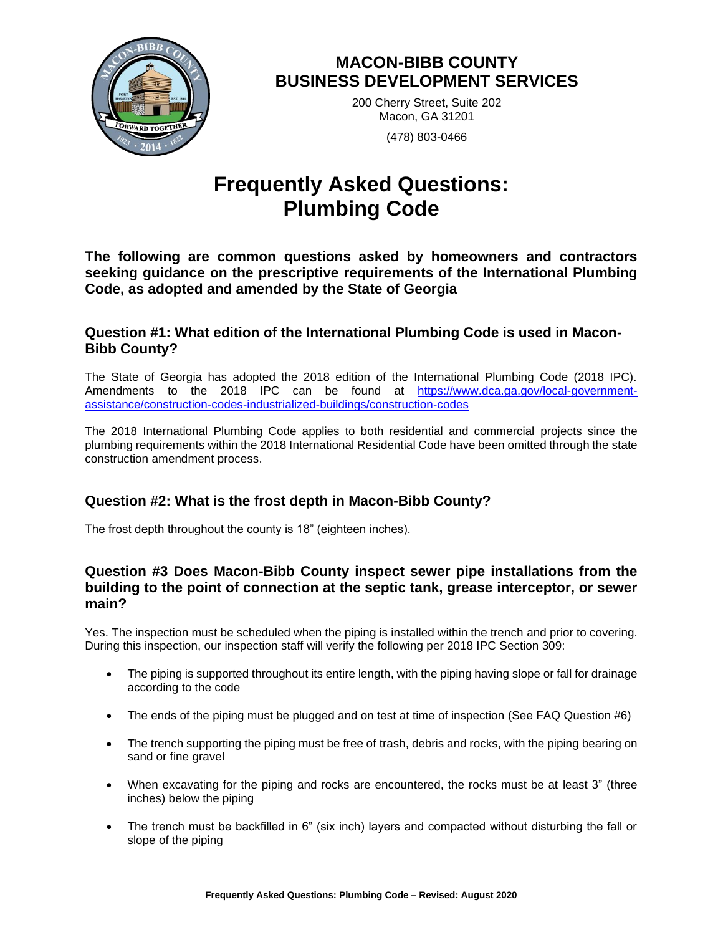

# **MACON-BIBB COUNTY BUSINESS DEVELOPMENT SERVICES**

200 Cherry Street, Suite 202 Macon, GA 31201 (478) 803-0466

# **Frequently Asked Questions: Plumbing Code**

**The following are common questions asked by homeowners and contractors seeking guidance on the prescriptive requirements of the International Plumbing Code, as adopted and amended by the State of Georgia**

### **Question #1: What edition of the International Plumbing Code is used in Macon-Bibb County?**

The State of Georgia has adopted the 2018 edition of the International Plumbing Code (2018 IPC). Amendments to the 2018 IPC can be found at [https://www.dca.ga.gov/local-government](https://www.dca.ga.gov/local-government-assistance/construction-codes-industrialized-buildings/construction-codes)[assistance/construction-codes-industrialized-buildings/construction-codes](https://www.dca.ga.gov/local-government-assistance/construction-codes-industrialized-buildings/construction-codes)

The 2018 International Plumbing Code applies to both residential and commercial projects since the plumbing requirements within the 2018 International Residential Code have been omitted through the state construction amendment process.

# **Question #2: What is the frost depth in Macon-Bibb County?**

The frost depth throughout the county is 18" (eighteen inches).

### **Question #3 Does Macon-Bibb County inspect sewer pipe installations from the building to the point of connection at the septic tank, grease interceptor, or sewer main?**

Yes. The inspection must be scheduled when the piping is installed within the trench and prior to covering. During this inspection, our inspection staff will verify the following per 2018 IPC Section 309:

- The piping is supported throughout its entire length, with the piping having slope or fall for drainage according to the code
- The ends of the piping must be plugged and on test at time of inspection (See FAQ Question #6)
- The trench supporting the piping must be free of trash, debris and rocks, with the piping bearing on sand or fine gravel
- When excavating for the piping and rocks are encountered, the rocks must be at least 3" (three inches) below the piping
- The trench must be backfilled in 6" (six inch) layers and compacted without disturbing the fall or slope of the piping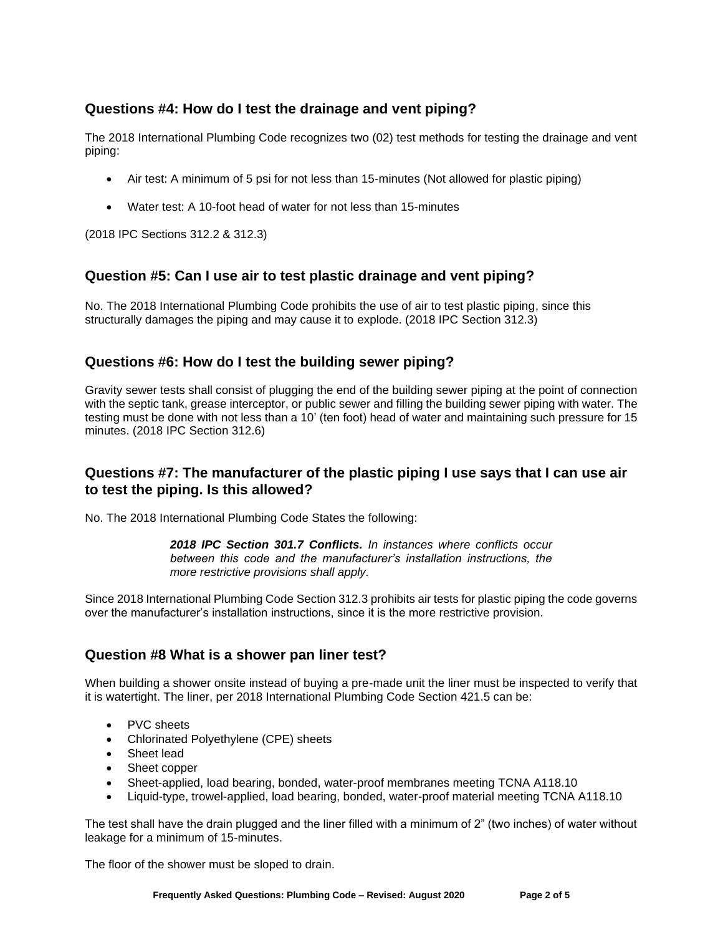# **Questions #4: How do I test the drainage and vent piping?**

The 2018 International Plumbing Code recognizes two (02) test methods for testing the drainage and vent piping:

- Air test: A minimum of 5 psi for not less than 15-minutes (Not allowed for plastic piping)
- Water test: A 10-foot head of water for not less than 15-minutes

(2018 IPC Sections 312.2 & 312.3)

### **Question #5: Can I use air to test plastic drainage and vent piping?**

No. The 2018 International Plumbing Code prohibits the use of air to test plastic piping, since this structurally damages the piping and may cause it to explode. (2018 IPC Section 312.3)

#### **Questions #6: How do I test the building sewer piping?**

Gravity sewer tests shall consist of plugging the end of the building sewer piping at the point of connection with the septic tank, grease interceptor, or public sewer and filling the building sewer piping with water. The testing must be done with not less than a 10' (ten foot) head of water and maintaining such pressure for 15 minutes. (2018 IPC Section 312.6)

### **Questions #7: The manufacturer of the plastic piping I use says that I can use air to test the piping. Is this allowed?**

No. The 2018 International Plumbing Code States the following:

*2018 IPC Section 301.7 Conflicts. In instances where conflicts occur between this code and the manufacturer's installation instructions, the more restrictive provisions shall apply.*

Since 2018 International Plumbing Code Section 312.3 prohibits air tests for plastic piping the code governs over the manufacturer's installation instructions, since it is the more restrictive provision.

# **Question #8 What is a shower pan liner test?**

When building a shower onsite instead of buying a pre-made unit the liner must be inspected to verify that it is watertight. The liner, per 2018 International Plumbing Code Section 421.5 can be:

- PVC sheets
- Chlorinated Polyethylene (CPE) sheets
- Sheet lead
- Sheet copper
- Sheet-applied, load bearing, bonded, water-proof membranes meeting TCNA A118.10
- Liquid-type, trowel-applied, load bearing, bonded, water-proof material meeting TCNA A118.10

The test shall have the drain plugged and the liner filled with a minimum of 2" (two inches) of water without leakage for a minimum of 15-minutes.

The floor of the shower must be sloped to drain.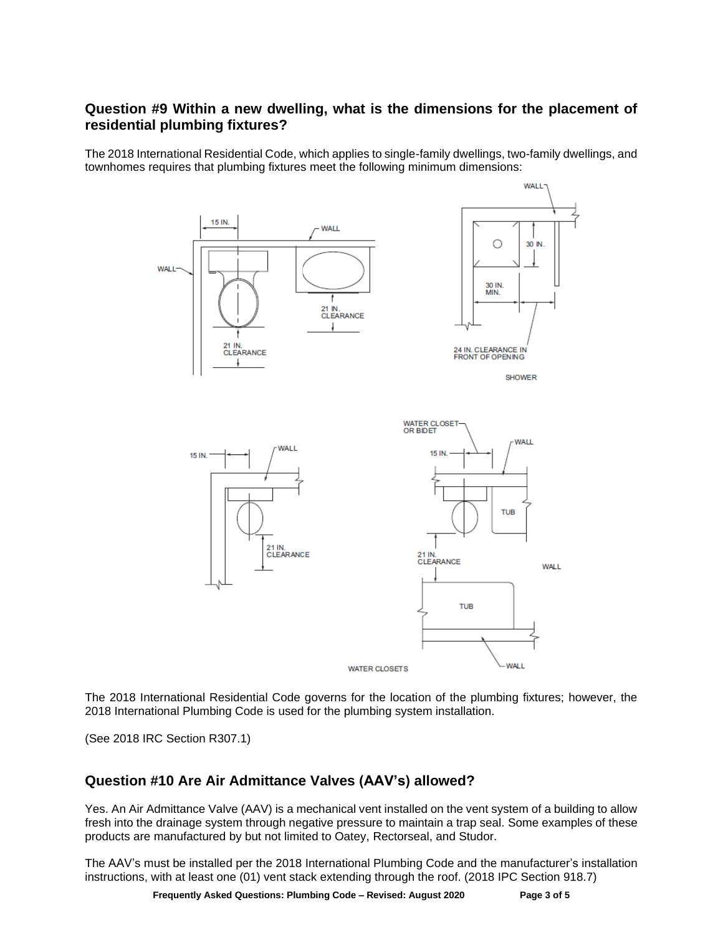### **Question #9 Within a new dwelling, what is the dimensions for the placement of residential plumbing fixtures?**

The 2018 International Residential Code, which applies to single-family dwellings, two-family dwellings, and townhomes requires that plumbing fixtures meet the following minimum dimensions:



The 2018 International Residential Code governs for the location of the plumbing fixtures; however, the 2018 International Plumbing Code is used for the plumbing system installation.

(See 2018 IRC Section R307.1)

# **Question #10 Are Air Admittance Valves (AAV's) allowed?**

Yes. An Air Admittance Valve (AAV) is a mechanical vent installed on the vent system of a building to allow fresh into the drainage system through negative pressure to maintain a trap seal. Some examples of these products are manufactured by but not limited to Oatey, Rectorseal, and Studor.

The AAV's must be installed per the 2018 International Plumbing Code and the manufacturer's installation instructions, with at least one (01) vent stack extending through the roof. (2018 IPC Section 918.7)

**Frequently Asked Questions: Plumbing Code – Revised: August 2020 Page 3 of 5**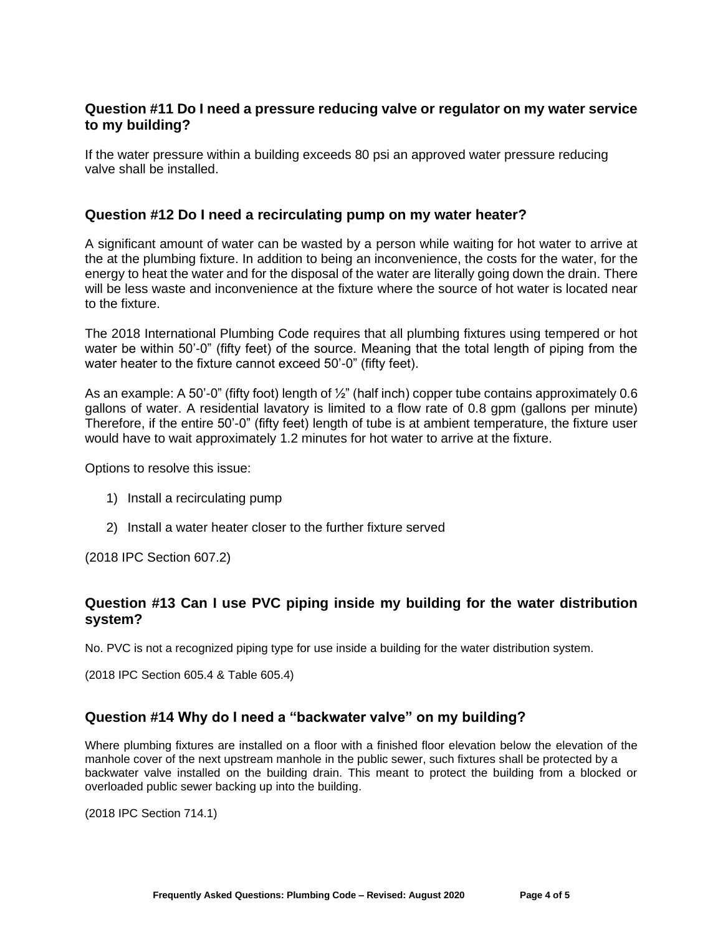#### **Question #11 Do I need a pressure reducing valve or regulator on my water service to my building?**

If the water pressure within a building exceeds 80 psi an approved water pressure reducing valve shall be installed.

#### **Question #12 Do I need a recirculating pump on my water heater?**

A significant amount of water can be wasted by a person while waiting for hot water to arrive at the at the plumbing fixture. In addition to being an inconvenience, the costs for the water, for the energy to heat the water and for the disposal of the water are literally going down the drain. There will be less waste and inconvenience at the fixture where the source of hot water is located near to the fixture.

The 2018 International Plumbing Code requires that all plumbing fixtures using tempered or hot water be within 50'-0" (fifty feet) of the source. Meaning that the total length of piping from the water heater to the fixture cannot exceed 50'-0" (fifty feet).

As an example: A 50'-0" (fifty foot) length of  $\frac{1}{2}$ " (half inch) copper tube contains approximately 0.6 gallons of water. A residential lavatory is limited to a flow rate of 0.8 gpm (gallons per minute) Therefore, if the entire 50'-0" (fifty feet) length of tube is at ambient temperature, the fixture user would have to wait approximately 1.2 minutes for hot water to arrive at the fixture.

Options to resolve this issue:

- 1) Install a recirculating pump
- 2) Install a water heater closer to the further fixture served

(2018 IPC Section 607.2)

### **Question #13 Can I use PVC piping inside my building for the water distribution system?**

No. PVC is not a recognized piping type for use inside a building for the water distribution system.

(2018 IPC Section 605.4 & Table 605.4)

#### **Question #14 Why do I need a "backwater valve" on my building?**

Where plumbing fixtures are installed on a floor with a finished floor elevation below the elevation of the manhole cover of the next upstream manhole in the public sewer, such fixtures shall be protected by a backwater valve installed on the building drain. This meant to protect the building from a blocked or overloaded public sewer backing up into the building.

(2018 IPC Section 714.1)